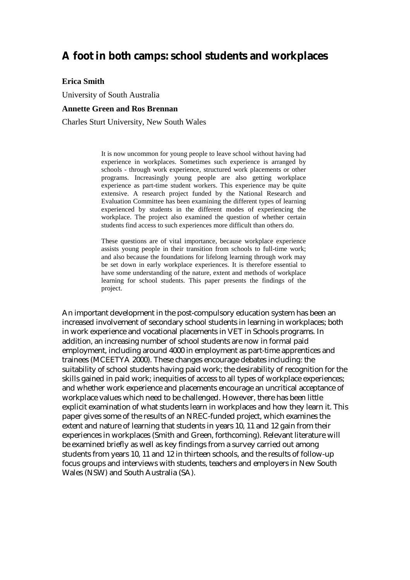# **A foot in both camps: school students and workplaces**

#### **Erica Smith**

University of South Australia

#### **Annette Green and Ros Brennan**

Charles Sturt University, New South Wales

It is now uncommon for young people to leave school without having had experience in workplaces. Sometimes such experience is arranged by schools - through work experience, structured work placements or other programs. Increasingly young people are also getting workplace experience as part-time student workers. This experience may be quite extensive. A research project funded by the National Research and Evaluation Committee has been examining the different types of learning experienced by students in the different modes of experiencing the workplace. The project also examined the question of whether certain students find access to such experiences more difficult than others do.

These questions are of vital importance, because workplace experience assists young people in their transition from schools to full-time work; and also because the foundations for lifelong learning through work may be set down in early workplace experiences. It is therefore essential to have some understanding of the nature, extent and methods of workplace learning for school students. This paper presents the findings of the project.

An important development in the post-compulsory education system has been an increased involvement of secondary school students in learning in workplaces; both in work experience and vocational placements in VET in Schools programs. In addition, an increasing number of school students are now in formal paid employment, including around 4000 in employment as part-time apprentices and trainees (MCEETYA 2000). These changes encourage debates including: the suitability of school students having paid work; the desirability of recognition for the skills gained in paid work; inequities of access to all types of workplace experiences; and whether work experience and placements encourage an uncritical acceptance of workplace values which need to be challenged. However, there has been little explicit examination of what students learn in workplaces and how they learn it. This paper gives some of the results of an NREC-funded project, which examines the extent and nature of learning that students in years 10, 11 and 12 gain from their experiences in workplaces (Smith and Green, forthcoming). Relevant literature will be examined briefly as well as key findings from a survey carried out among students from years 10, 11 and 12 in thirteen schools, and the results of follow-up focus groups and interviews with students, teachers and employers in New South Wales (NSW) and South Australia (SA).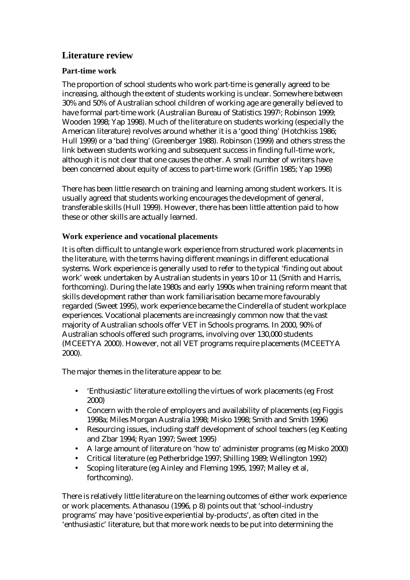## **Literature review**

### **Part-time work**

The proportion of school students who work part-time is generally agreed to be increasing, although the extent of students working is unclear. Somewhere between 30% and 50% of Australian school children of working age are generally believed to have formal part-time work (Australian Bureau of Statistics 19971; Robinson 1999; Wooden 1998; Yap 1998). Much of the literature on students working (especially the American literature) revolves around whether it is a 'good thing' (Hotchkiss 1986; Hull 1999) or a 'bad thing' (Greenberger 1988). Robinson (1999) and others stress the link between students working and subsequent success in finding full-time work, although it is not clear that one causes the other. A small number of writers have been concerned about equity of access to part-time work (Griffin 1985; Yap 1998)

There has been little research on training and learning among student workers. It is usually agreed that students working encourages the development of general, transferable skills (Hull 1999). However, there has been little attention paid to how these or other skills are actually learned.

### **Work experience and vocational placements**

It is often difficult to untangle work experience from structured work placements in the literature, with the terms having different meanings in different educational systems. Work experience is generally used to refer to the typical 'finding out about work' week undertaken by Australian students in years 10 or 11 (Smith and Harris, forthcoming). During the late 1980s and early 1990s when training reform meant that skills development rather than work familiarisation became more favourably regarded (Sweet 1995), work experience became the Cinderella of student workplace experiences. Vocational placements are increasingly common now that the vast majority of Australian schools offer VET in Schools programs. In 2000, 90% of Australian schools offered such programs, involving over 130,000 students (MCEETYA 2000). However, not all VET programs require placements (MCEETYA 2000).

The major themes in the literature appear to be:

- 'Enthusiastic' literature extolling the virtues of work placements (eg Frost 2000)
- Concern with the role of employers and availability of placements (eg Figgis 1998a; Miles Morgan Australia 1998; Misko 1998; Smith and Smith 1996)
- Resourcing issues, including staff development of school teachers (eg Keating and Zbar 1994; Ryan 1997; Sweet 1995)
- A large amount of literature on 'how to' administer programs (eg Misko 2000)
- Critical literature (eg Petherbridge 1997; Shilling 1989; Wellington 1992)
- Scoping literature (eg Ainley and Fleming 1995, 1997; Malley et al, forthcoming).

There is relatively little literature on the learning outcomes of either work experience or work placements. Athanasou (1996, p 8) points out that 'school-industry programs' may have 'positive experiential by-products', as often cited in the 'enthusiastic' literature, but that more work needs to be put into determining the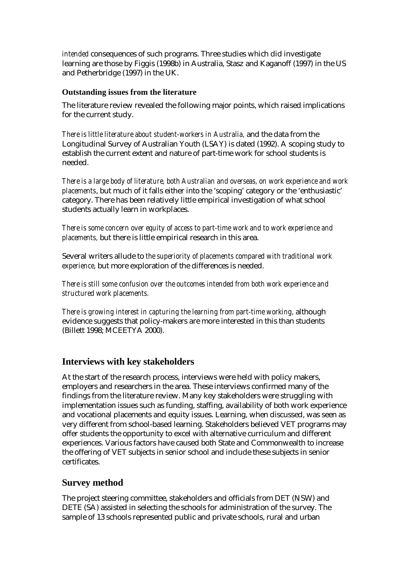*intended* consequences of such programs. Three studies which did investigate learning are those by Figgis (1998b) in Australia, Stasz and Kaganoff (1997) in the US and Petherbridge (1997) in the UK.

#### **Outstanding issues from the literature**

The literature review revealed the following major points, which raised implications for the current study.

*There is little literature about student-workers in Australia,* and the data from the Longitudinal Survey of Australian Youth (LSAY) is dated (1992). A scoping study to establish the current extent and nature of part-time work for school students is needed.

*There is a large body of literature, both Australian and overseas, on work experience and work placements*, but much of it falls either into the 'scoping' category or the 'enthusiastic' category. There has been relatively little empirical investigation of what school students actually learn in workplaces.

*There is some concern over equity of access to part-time work and to work experience and placements,* but there is little empirical research in this area.

Several writers allude to *the superiority of placements compared with traditional work experience,* but more exploration of the differences is needed.

*There is still some confusion over the outcomes intended from both work experience and structured work placements.* 

*There is growing interest in capturing the learning from part-time working,* although evidence suggests that policy-makers are more interested in this than students (Billett 1998; MCEETYA 2000).

### **Interviews with key stakeholders**

At the start of the research process, interviews were held with policy makers, employers and researchers in the area. These interviews confirmed many of the findings from the literature review. Many key stakeholders were struggling with implementation issues such as funding, staffing, availability of both work experience and vocational placements and equity issues. Learning, when discussed, was seen as very different from school-based learning. Stakeholders believed VET programs may offer students the opportunity to excel with alternative curriculum and different experiences. Various factors have caused both State and Commonwealth to increase the offering of VET subjects in senior school and include these subjects in senior certificates.

### **Survey method**

The project steering committee, stakeholders and officials from DET (NSW) and DETE (SA) assisted in selecting the schools for administration of the survey. The sample of 13 schools represented public and private schools, rural and urban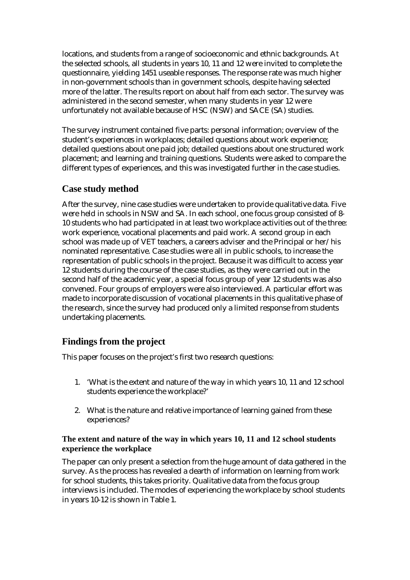locations, and students from a range of socioeconomic and ethnic backgrounds. At the selected schools, all students in years 10, 11 and 12 were invited to complete the questionnaire, yielding 1451 useable responses. The response rate was much higher in non-government schools than in government schools, despite having selected more of the latter. The results report on about half from each sector. The survey was administered in the second semester, when many students in year 12 were unfortunately not available because of HSC (NSW) and SACE (SA) studies.

The survey instrument contained five parts: personal information; overview of the student's experiences in workplaces; detailed questions about work experience; detailed questions about one paid job; detailed questions about one structured work placement; and learning and training questions. Students were asked to compare the different types of experiences, and this was investigated further in the case studies.

### **Case study method**

After the survey, nine case studies were undertaken to provide qualitative data. Five were held in schools in NSW and SA. In each school, one focus group consisted of 8- 10 students who had participated in at least two workplace activities out of the three: work experience, vocational placements and paid work. A second group in each school was made up of VET teachers, a careers adviser and the Principal or her/his nominated representative. Case studies were all in public schools, to increase the representation of public schools in the project. Because it was difficult to access year 12 students during the course of the case studies, as they were carried out in the second half of the academic year, a special focus group of year 12 students was also convened. Four groups of employers were also interviewed. A particular effort was made to incorporate discussion of vocational placements in this qualitative phase of the research, since the survey had produced only a limited response from students undertaking placements.

### **Findings from the project**

This paper focuses on the project's first two research questions:

- 1. 'What is the extent and nature of the way in which years 10, 11 and 12 school students experience the workplace?'
- 2. What is the nature and relative importance of learning gained from these experiences?

#### **The extent and nature of the way in which years 10, 11 and 12 school students experience the workplace**

The paper can only present a selection from the huge amount of data gathered in the survey. As the process has revealed a dearth of information on learning from work for school students, this takes priority. Qualitative data from the focus group interviews is included. The modes of experiencing the workplace by school students in years 10-12 is shown in Table 1.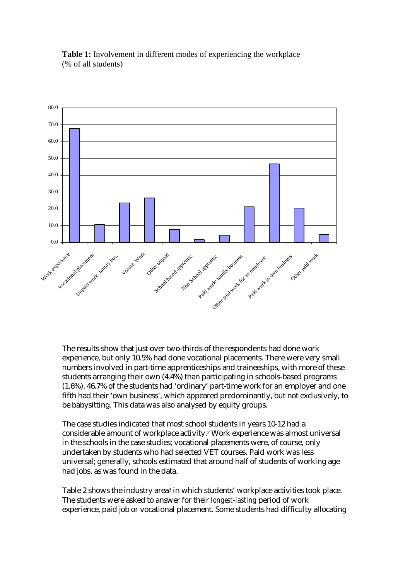

**Table 1:** Involvement in different modes of experiencing the workplace (% of all students)

The results show that just over two-thirds of the respondents had done work experience, but only 10.5% had done vocational placements. There were very small numbers involved in part-time apprenticeships and traineeships, with more of these students arranging their own (4.4%) than participating in schools-based programs (1.6%). 46.7% of the students had 'ordinary' part-time work for an employer and one fifth had their 'own business', which appeared predominantly, but not exclusively, to be babysitting*.* This data was also analysed by equity groups.

The case studies indicated that most school students in years 10-12 had a considerable amount of workplace activity.2 Work experience was almost universal in the schools in the case studies; vocational placements were, of course, only undertaken by students who had selected VET courses. Paid work was less universal; generally, schools estimated that around half of students of working age had jobs, as was found in the data.

Table 2 shows the industry area<sup>3</sup> in which students' workplace activities took place. The students were asked to answer for their *longest-lasting* period of work experience, paid job or vocational placement. Some students had difficulty allocating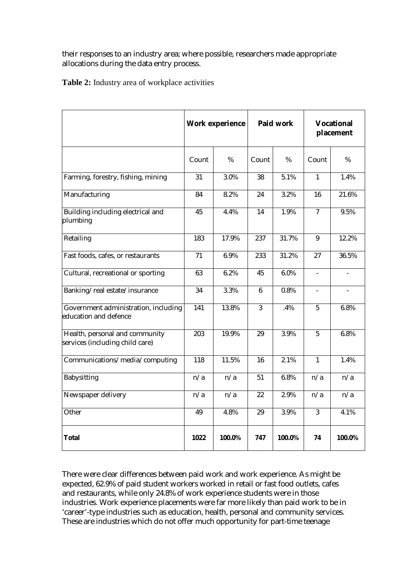their responses to an industry area; where possible, researchers made appropriate allocations during the data entry process.

**Table 2:** Industry area of workplace activities

|                                                                   | <b>Work experience</b> |        | Paid work       |        | <b>Vocational</b><br>placement |                          |
|-------------------------------------------------------------------|------------------------|--------|-----------------|--------|--------------------------------|--------------------------|
|                                                                   | Count                  | %      | Count           | %      | Count                          | %                        |
| Farming, forestry, fishing, mining                                | 31                     | 3.0%   | 38              | 5.1%   | $\mathbf{1}$                   | 1.4%                     |
| Manufacturing                                                     | 84                     | 8.2%   | 24              | 3.2%   | 16                             | 21.6%                    |
| Building including electrical and<br>plumbing                     | 45                     | 4.4%   | 14              | 1.9%   | $\overline{7}$                 | 9.5%                     |
| Retailing                                                         | 183                    | 17.9%  | 237             | 31.7%  | $\boldsymbol{9}$               | 12.2%                    |
| Fast foods, cafes, or restaurants                                 | 71                     | 6.9%   | 233             | 31.2%  | 27                             | 36.5%                    |
| Cultural, recreational or sporting                                | 63                     | 6.2%   | 45              | 6.0%   | $\frac{1}{2}$                  | $\overline{\phantom{m}}$ |
| Banking/real estate/insurance                                     | 34                     | 3.3%   | $6\phantom{.}6$ | 0.8%   |                                |                          |
| Government administration, including<br>education and defence     | 141                    | 13.8%  | 3               | .4%    | $\overline{5}$                 | 6.8%                     |
| Health, personal and community<br>services (including child care) | 203                    | 19.9%  | 29              | 3.9%   | $\overline{5}$                 | 6.8%                     |
| Communications/media/computing                                    | 118                    | 11.5%  | 16              | 2.1%   | $\mathbf{1}$                   | 1.4%                     |
| Babysitting                                                       | n/a                    | n/a    | 51              | 6.8%   | n/a                            | n/a                      |
| Newspaper delivery                                                | n/a                    | n/a    | 22              | 2.9%   | n/a                            | n/a                      |
| Other                                                             | 49                     | 4.8%   | 29              | 3.9%   | 3                              | 4.1%                     |
| <b>Total</b>                                                      | 1022                   | 100.0% | 747             | 100.0% | 74                             | 100.0%                   |

There were clear differences between paid work and work experience. As might be expected, 62.9% of paid student workers worked in retail or fast food outlets, cafes and restaurants, while only 24.8% of work experience students were in those industries. Work experience placements were far more likely than paid work to be in 'career'-type industries such as education, health, personal and community services. These are industries which do not offer much opportunity for part-time teenage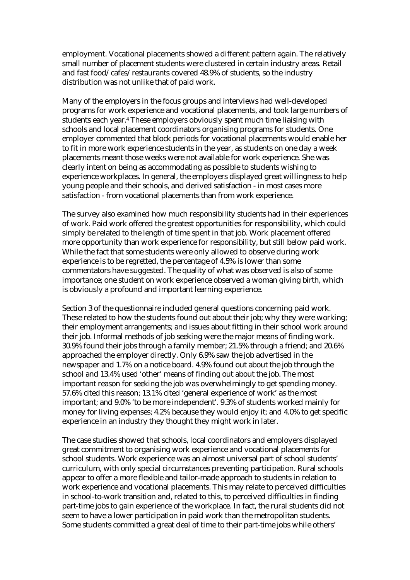employment. Vocational placements showed a different pattern again. The relatively small number of placement students were clustered in certain industry areas. Retail and fast food/cafes/restaurants covered 48.9% of students, so the industry distribution was not unlike that of paid work.

Many of the employers in the focus groups and interviews had well-developed programs for work experience and vocational placements, and took large numbers of students each year.<sup>4</sup> These employers obviously spent much time liaising with schools and local placement coordinators organising programs for students. One employer commented that block periods for vocational placements would enable her to fit in more work experience students in the year, as students on one day a week placements meant those weeks were not available for work experience. She was clearly intent on being as accommodating as possible to students wishing to experience workplaces. In general, the employers displayed great willingness to help young people and their schools, and derived satisfaction - in most cases more satisfaction - from vocational placements than from work experience.

The survey also examined how much responsibility students had in their experiences of work. Paid work offered the greatest opportunities for responsibility, which could simply be related to the length of time spent in that job. Work placement offered more opportunity than work experience for responsibility, but still below paid work. While the fact that some students were only allowed to observe during work experience is to be regretted, the percentage of 4.5% is lower than some commentators have suggested. The quality of what was observed is also of some importance; one student on work experience observed a woman giving birth, which is obviously a profound and important learning experience.

Section 3 of the questionnaire included general questions concerning paid work. These related to how the students found out about their job; why they were working; their employment arrangements; and issues about fitting in their school work around their job. Informal methods of job seeking were the major means of finding work. 30.9% found their jobs through a family member; 21.5% through a friend; and 20.6% approached the employer directly. Only 6.9% saw the job advertised in the newspaper and 1.7% on a notice board. 4.9% found out about the job through the school and 13.4% used 'other' means of finding out about the job. The most important reason for seeking the job was overwhelmingly to get spending money. 57.6% cited this reason; 13.1% cited 'general experience of work' as the most important; and 9.0% 'to be more independent'. 9.3% of students worked mainly for money for living expenses; 4.2% because they would enjoy it; and 4.0% to get specific experience in an industry they thought they might work in later.

The case studies showed that schools, local coordinators and employers displayed great commitment to organising work experience and vocational placements for school students. Work experience was an almost universal part of school students' curriculum, with only special circumstances preventing participation. Rural schools appear to offer a more flexible and tailor-made approach to students in relation to work experience and vocational placements. This may relate to perceived difficulties in school-to-work transition and, related to this, to perceived difficulties in finding part-time jobs to gain experience of the workplace. In fact, the rural students did not seem to have a lower participation in paid work than the metropolitan students. Some students committed a great deal of time to their part-time jobs while others'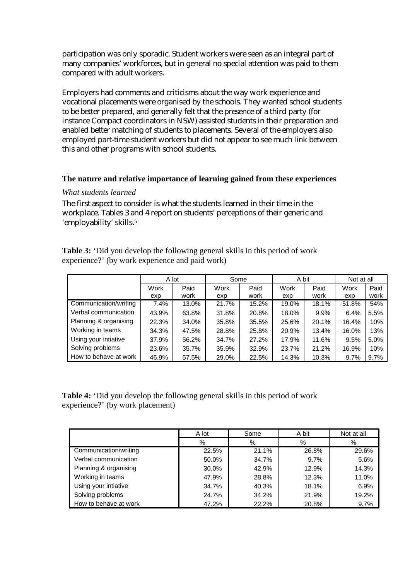participation was only sporadic. Student workers were seen as an integral part of many companies' workforces, but in general no special attention was paid to them compared with adult workers.

Employers had comments and criticisms about the way work experience and vocational placements were organised by the schools. They wanted school students to be better prepared, and generally felt that the presence of a third party (for instance Compact coordinators in NSW) assisted students in their preparation and enabled better matching of students to placements. Several of the employers also employed part-time student workers but did not appear to see much link between this and other programs with school students.

#### **The nature and relative importance of learning gained from these experiences**

#### *What students learned*

The first aspect to consider is what the students learned in their time in the workplace. Tables 3 and 4 report on students' perceptions of their generic and 'employability' skills.5

**Table 3:** 'Did you develop the following general skills in this period of work experience?' (by work experience and paid work)

|                       | A lot       |              | Some        |              | A bit       |              | Not at all  |              |
|-----------------------|-------------|--------------|-------------|--------------|-------------|--------------|-------------|--------------|
|                       | Work<br>exp | Paid<br>work | Work<br>exp | Paid<br>work | Work<br>exp | Paid<br>work | Work<br>exp | Paid<br>work |
| Communication/writing | 7.4%        | 13.0%        | 21.7%       | 15.2%        | 19.0%       | 18.1%        | 51.8%       | 54%          |
| Verbal communication  | 43.9%       | 63.8%        | 31.8%       | 20.8%        | 18.0%       | $9.9\%$      | 6.4%        | 5.5%         |
| Planning & organising | 22.3%       | 34.0%        | 35.8%       | 35.5%        | 25.6%       | 20.1%        | 16.4%       | 10%          |
| Working in teams      | 34.3%       | 47.5%        | 28.8%       | 25.8%        | 20.9%       | 13.4%        | 16.0%       | 13%          |
| Using your intiative  | 37.9%       | 56.2%        | 34.7%       | 27.2%        | 17.9%       | 11.6%        | 9.5%        | 5.0%         |
| Solving problems      | 23.6%       | 35.7%        | 35.9%       | 32.9%        | 23.7%       | 21.2%        | 16.9%       | 10%          |
| How to behave at work | 46.9%       | 57.5%        | 29.0%       | 22.5%        | 14.3%       | 10.3%        | 9.7%        | 9.7%         |

**Table 4:** 'Did you develop the following general skills in this period of work experience?' (by work placement)

|                       | A lot<br>Some |       | A bit | Not at all |  |
|-----------------------|---------------|-------|-------|------------|--|
|                       | %             | %     | %     | $\%$       |  |
| Communication/writing | 22.5%         | 21.1% | 26.8% | 29.6%      |  |
| Verbal communication  | 50.0%         | 34.7% | 9.7%  | 5.6%       |  |
| Planning & organising | 30.0%         | 42.9% | 12.9% | 14.3%      |  |
| Working in teams      | 47.9%         | 28.8% | 12.3% | 11.0%      |  |
| Using your intiative  | 34.7%         | 40.3% | 18.1% | 6.9%       |  |
| Solving problems      | 24.7%         | 34.2% | 21.9% | 19.2%      |  |
| How to behave at work | 47.2%         | 22.2% | 20.8% | 9.7%       |  |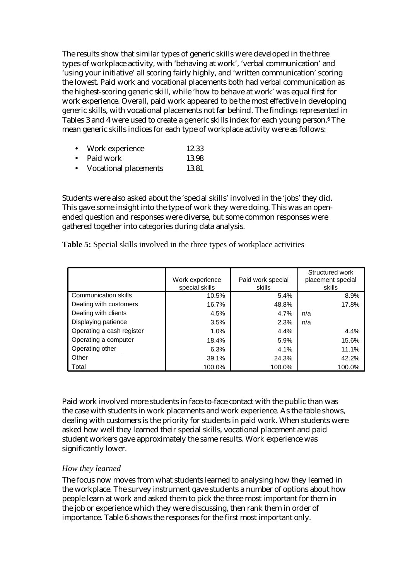The results show that similar types of generic skills were developed in the three types of workplace activity, with 'behaving at work', 'verbal communication' and 'using your initiative' all scoring fairly highly, and 'written communication' scoring the lowest. Paid work and vocational placements both had verbal communication as the highest-scoring generic skill, while 'how to behave at work' was equal first for work experience. Overall, paid work appeared to be the most effective in developing generic skills, with vocational placements not far behind. The findings represented in Tables 3 and 4 were used to create a generic skills index for each young person.6 The mean generic skills indices for each type of workplace activity were as follows:

- Work experience 12.33
- Paid work 13.98
- Vocational placements 13.81

Students were also asked about the 'special skills' involved in the 'jobs' they did. This gave some insight into the type of work they were doing. This was an openended question and responses were diverse, but some common responses were gathered together into categories during data analysis.

| Table 5: Special skills involved in the three types of workplace activities |  |  |
|-----------------------------------------------------------------------------|--|--|
|-----------------------------------------------------------------------------|--|--|

|                             | Work experience | Paid work special | Structured work<br>placement special |
|-----------------------------|-----------------|-------------------|--------------------------------------|
|                             | special skills  | skills            | skills                               |
| <b>Communication skills</b> | 10.5%           | 5.4%              | 8.9%                                 |
| Dealing with customers      | 16.7%           | 48.8%             | 17.8%                                |
| Dealing with clients        | 4.5%            | 4.7%              | n/a                                  |
| Displaying patience         | 3.5%            | 2.3%              | n/a                                  |
| Operating a cash register   | $1.0\%$         | 4.4%              | 4.4%                                 |
| Operating a computer        | 18.4%           | 5.9%              | 15.6%                                |
| Operating other             | 6.3%            | 4.1%              | 11.1%                                |
| Other                       | 39.1%           | 24.3%             | 42.2%                                |
| Total                       | 100.0%          | 100.0%            | 100.0%                               |

Paid work involved more students in face-to-face contact with the public than was the case with students in work placements and work experience. As the table shows, dealing with customers is the priority for students in paid work. When students were asked how well they learned their special skills, vocational placement and paid student workers gave approximately the same results. Work experience was significantly lower.

#### *How they learned*

The focus now moves from what students learned to analysing how they learned in the workplace. The survey instrument gave students a number of options about how people learn at work and asked them to pick the three most important for them in the job or experience which they were discussing, then rank them in order of importance. Table 6 shows the responses for the first most important only.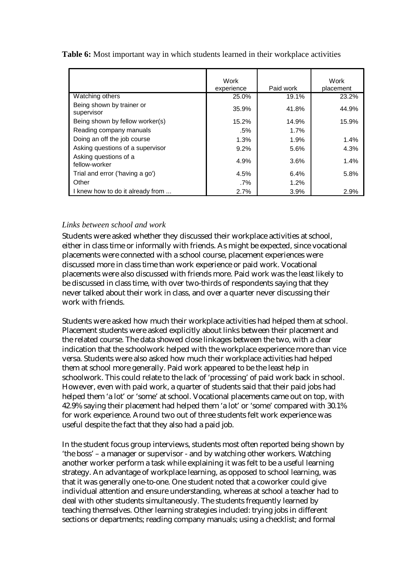|                                         | Work<br>experience | Paid work | Work<br>placement |
|-----------------------------------------|--------------------|-----------|-------------------|
| Watching others                         | 25.0%              | 19.1%     | 23.2%             |
| Being shown by trainer or<br>supervisor | 35.9%              | 41.8%     | 44.9%             |
| Being shown by fellow worker(s)         | 15.2%              | 14.9%     | 15.9%             |
| Reading company manuals                 | .5%                | 1.7%      |                   |
| Doing an off the job course             | 1.3%               | 1.9%      | 1.4%              |
| Asking questions of a supervisor        | $9.2\%$            | 5.6%      | 4.3%              |
| Asking questions of a<br>fellow-worker  | 4.9%               | 3.6%      | 1.4%              |
| Trial and error ('having a go')         | 4.5%               | 6.4%      | 5.8%              |
| Other                                   | .7%                | 1.2%      |                   |
| I knew how to do it already from        | 2.7%               | 3.9%      | 2.9%              |

**Table 6:** Most important way in which students learned in their workplace activities

#### *Links between school and work*

Students were asked whether they discussed their workplace activities at school, either in class time or informally with friends. As might be expected, since vocational placements were connected with a school course, placement experiences were discussed more in class time than work experience or paid work. Vocational placements were also discussed with friends more. Paid work was the least likely to be discussed in class time, with over two-thirds of respondents saying that they never talked about their work in class, and over a quarter never discussing their work with friends.

Students were asked how much their workplace activities had helped them at school. Placement students were asked explicitly about links between their placement and the related course. The data showed close linkages between the two, with a clear indication that the schoolwork helped with the workplace experience more than vice versa. Students were also asked how much their workplace activities had helped them at school more generally. Paid work appeared to be the least help in schoolwork. This could relate to the lack of 'processing' of paid work back in school. However, even with paid work, a quarter of students said that their paid jobs had helped them 'a lot' or 'some' at school. Vocational placements came out on top, with 42.9% saying their placement had helped them 'a lot' or 'some' compared with 30.1% for work experience. Around two out of three students felt work experience was useful despite the fact that they also had a paid job.

In the student focus group interviews, students most often reported being shown by 'the boss' – a manager or supervisor - and by watching other workers. Watching another worker perform a task while explaining it was felt to be a useful learning strategy. An advantage of workplace learning, as opposed to school learning, was that it was generally one-to-one. One student noted that a coworker could give individual attention and ensure understanding, whereas at school a teacher had to deal with other students simultaneously. The students frequently learned by teaching themselves. Other learning strategies included: trying jobs in different sections or departments; reading company manuals; using a checklist; and formal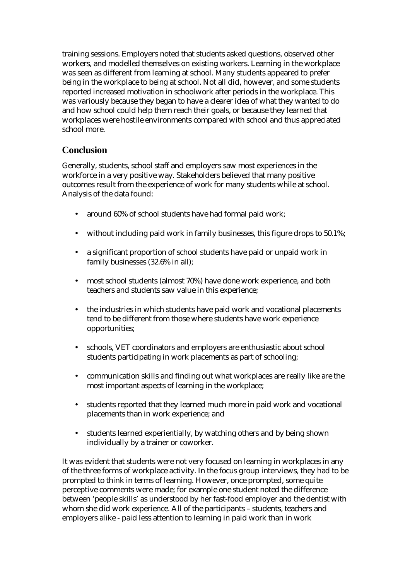training sessions. Employers noted that students asked questions, observed other workers, and modelled themselves on existing workers. Learning in the workplace was seen as different from learning at school. Many students appeared to prefer being in the workplace to being at school. Not all did, however, and some students reported increased motivation in schoolwork after periods in the workplace. This was variously because they began to have a clearer idea of what they wanted to do and how school could help them reach their goals, or because they learned that workplaces were hostile environments compared with school and thus appreciated school more.

### **Conclusion**

Generally, students, school staff and employers saw most experiences in the workforce in a very positive way. Stakeholders believed that many positive outcomes result from the experience of work for many students while at school. Analysis of the data found:

- around 60% of school students have had formal paid work;
- without including paid work in family businesses, this figure drops to 50.1%;
- a significant proportion of school students have paid or unpaid work in family businesses (32.6% in all);
- most school students (almost 70%) have done work experience, and both teachers and students saw value in this experience;
- the industries in which students have paid work and vocational placements tend to be different from those where students have work experience opportunities;
- schools, VET coordinators and employers are enthusiastic about school students participating in work placements as part of schooling;
- communication skills and finding out what workplaces are really like are the most important aspects of learning in the workplace;
- students reported that they learned much more in paid work and vocational placements than in work experience; and
- students learned experientially, by watching others and by being shown individually by a trainer or coworker.

It was evident that students were not very focused on learning in workplaces in any of the three forms of workplace activity. In the focus group interviews, they had to be prompted to think in terms of learning. However, once prompted, some quite perceptive comments were made; for example one student noted the difference between 'people skills' as understood by her fast-food employer and the dentist with whom she did work experience. All of the participants – students, teachers and employers alike - paid less attention to learning in paid work than in work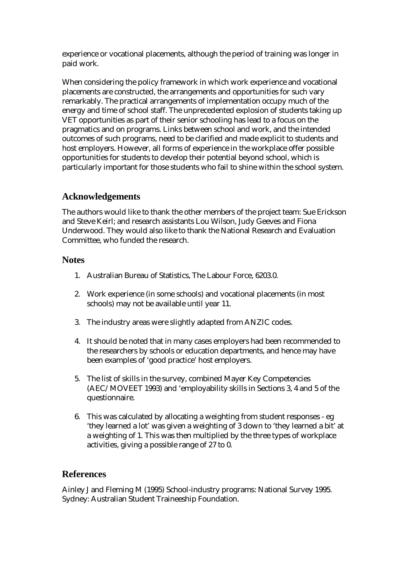experience or vocational placements, although the period of training was longer in paid work.

When considering the policy framework in which work experience and vocational placements are constructed, the arrangements and opportunities for such vary remarkably. The practical arrangements of implementation occupy much of the energy and time of school staff. The unprecedented explosion of students taking up VET opportunities as part of their senior schooling has lead to a focus on the pragmatics and on programs. Links between school and work, and the intended outcomes of such programs, need to be clarified and made explicit to students and host employers. However, all forms of experience in the workplace offer possible opportunities for students to develop their potential beyond school, which is particularly important for those students who fail to shine within the school system.

### **Acknowledgements**

The authors would like to thank the other members of the project team: Sue Erickson and Steve Keirl; and research assistants Lou Wilson, Judy Geeves and Fiona Underwood. They would also like to thank the National Research and Evaluation Committee, who funded the research.

#### **Notes**

- 1. Australian Bureau of Statistics, The Labour Force, 6203.0.
- 2. Work experience (in some schools) and vocational placements (in most schools) may not be available until year 11.
- 3. The industry areas were slightly adapted from ANZIC codes.
- 4. It should be noted that in many cases employers had been recommended to the researchers by schools or education departments, and hence may have been examples of 'good practice' host employers.
- 5. The list of skills in the survey, combined Mayer Key Competencies (AEC/MOVEET 1993) and 'employability skills in Sections 3, 4 and 5 of the questionnaire.
- 6. This was calculated by allocating a weighting from student responses eg 'they learned a lot' was given a weighting of 3 down to 'they learned a bit' at a weighting of 1. This was then multiplied by the three types of workplace activities, giving a possible range of 27 to 0.

### **References**

Ainley J and Fleming M (1995) School-industry programs: National Survey 1995. Sydney: Australian Student Traineeship Foundation.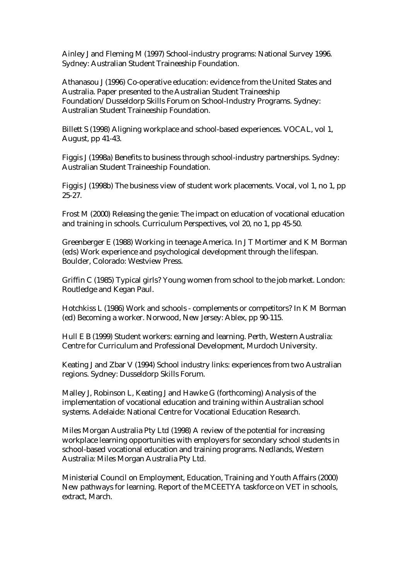Ainley J and Fleming M (1997) School-industry programs: National Survey 1996. Sydney: Australian Student Traineeship Foundation.

Athanasou J (1996) Co-operative education: evidence from the United States and Australia. Paper presented to the Australian Student Traineeship Foundation/Dusseldorp Skills Forum on School-Industry Programs. Sydney: Australian Student Traineeship Foundation.

Billett S (1998) Aligning workplace and school-based experiences. VOCAL, vol 1, August, pp 41-43.

Figgis J (1998a) Benefits to business through school-industry partnerships. Sydney: Australian Student Traineeship Foundation.

Figgis J (1998b) The business view of student work placements. Vocal, vol 1, no 1, pp 25-27.

Frost M (2000) Releasing the genie: The impact on education of vocational education and training in schools. Curriculum Perspectives, vol 20, no 1, pp 45-50.

Greenberger E (1988) Working in teenage America. In J T Mortimer and K M Borman (eds) Work experience and psychological development through the lifespan. Boulder, Colorado: Westview Press.

Griffin C (1985) Typical girls? Young women from school to the job market. London: Routledge and Kegan Paul.

Hotchkiss L (1986) Work and schools - complements or competitors? In K M Borman (ed) Becoming a worker. Norwood, New Jersey: Ablex, pp 90-115.

Hull E B (1999) Student workers: earning and learning. Perth, Western Australia: Centre for Curriculum and Professional Development, Murdoch University.

Keating J and Zbar V (1994) School industry links: experiences from two Australian regions. Sydney: Dusseldorp Skills Forum.

Malley J, Robinson L, Keating J and Hawke G (forthcoming) Analysis of the implementation of vocational education and training within Australian school systems. Adelaide: National Centre for Vocational Education Research.

Miles Morgan Australia Pty Ltd (1998) A review of the potential for increasing workplace learning opportunities with employers for secondary school students in school-based vocational education and training programs. Nedlands, Western Australia: Miles Morgan Australia Pty Ltd.

Ministerial Council on Employment, Education, Training and Youth Affairs (2000) New pathways for learning. Report of the MCEETYA taskforce on VET in schools, extract, March.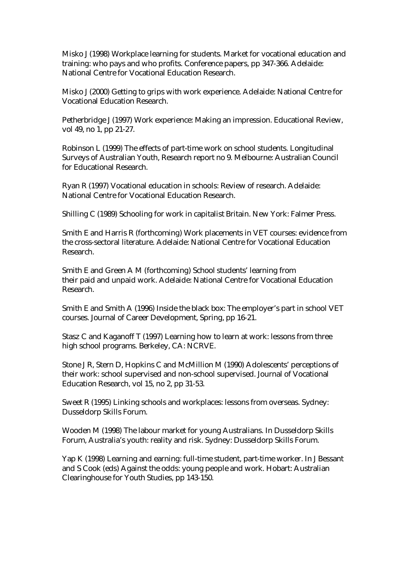Misko J (1998) Workplace learning for students. Market for vocational education and training: who pays and who profits. Conference papers, pp 347-366. Adelaide: National Centre for Vocational Education Research.

Misko J (2000) Getting to grips with work experience. Adelaide: National Centre for Vocational Education Research.

Petherbridge J (1997) Work experience: Making an impression. Educational Review, vol 49, no 1, pp 21-27.

Robinson L (1999) The effects of part-time work on school students. Longitudinal Surveys of Australian Youth, Research report no 9. Melbourne: Australian Council for Educational Research.

Ryan R (1997) Vocational education in schools: Review of research. Adelaide: National Centre for Vocational Education Research.

Shilling C (1989) Schooling for work in capitalist Britain. New York: Falmer Press.

Smith E and Harris R (forthcoming) Work placements in VET courses: evidence from the cross-sectoral literature. Adelaide: National Centre for Vocational Education Research.

Smith E and Green A M (forthcoming) School students' learning from their paid and unpaid work. Adelaide: National Centre for Vocational Education Research.

Smith E and Smith A (1996) Inside the black box: The employer's part in school VET courses. Journal of Career Development, Spring, pp 16-21.

Stasz C and Kaganoff T (1997) Learning how to learn at work: lessons from three high school programs. Berkeley, CA: NCRVE.

Stone J R, Stern D, Hopkins C and McMillion M (1990) Adolescents' perceptions of their work: school supervised and non-school supervised. Journal of Vocational Education Research, vol 15, no 2, pp 31-53.

Sweet R (1995) Linking schools and workplaces: lessons from overseas. Sydney: Dusseldorp Skills Forum.

Wooden M (1998) The labour market for young Australians. In Dusseldorp Skills Forum, Australia's youth: reality and risk. Sydney: Dusseldorp Skills Forum.

Yap K (1998) Learning and earning: full-time student, part-time worker. In J Bessant and S Cook (eds) Against the odds: young people and work. Hobart: Australian Clearinghouse for Youth Studies, pp 143-150.